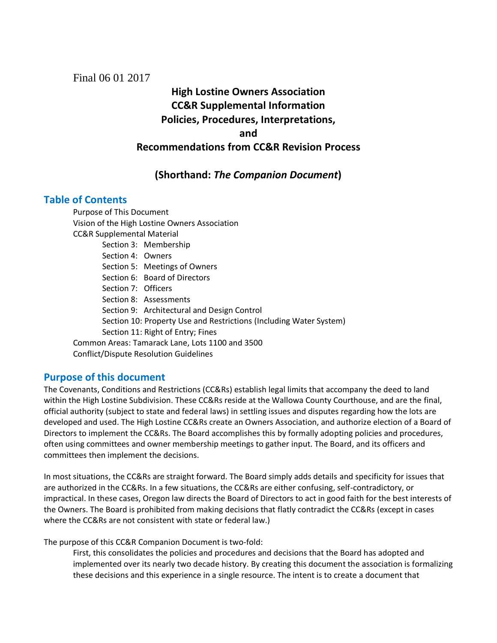Final 06 01 2017

**High Lostine Owners Association CC&R Supplemental Information Policies, Procedures, Interpretations, and Recommendations from CC&R Revision Process**

## **(Shorthand:** *The Companion Document***)**

## **Table of Contents**

Purpose of This Document Vision of the High Lostine Owners Association CC&R Supplemental Material Section 3: Membership Section 4: Owners Section 5: Meetings of Owners Section 6: Board of Directors Section 7: Officers Section 8: Assessments Section 9: Architectural and Design Control Section 10: Property Use and Restrictions (Including Water System) Section 11: Right of Entry; Fines Common Areas: Tamarack Lane, Lots 1100 and 3500 Conflict/Dispute Resolution Guidelines

## **Purpose of this document**

The Covenants, Conditions and Restrictions (CC&Rs) establish legal limits that accompany the deed to land within the High Lostine Subdivision. These CC&Rs reside at the Wallowa County Courthouse, and are the final, official authority (subject to state and federal laws) in settling issues and disputes regarding how the lots are developed and used. The High Lostine CC&Rs create an Owners Association, and authorize election of a Board of Directors to implement the CC&Rs. The Board accomplishes this by formally adopting policies and procedures, often using committees and owner membership meetings to gather input. The Board, and its officers and committees then implement the decisions.

In most situations, the CC&Rs are straight forward. The Board simply adds details and specificity for issues that are authorized in the CC&Rs. In a few situations, the CC&Rs are either confusing, self-contradictory, or impractical. In these cases, Oregon law directs the Board of Directors to act in good faith for the best interests of the Owners. The Board is prohibited from making decisions that flatly contradict the CC&Rs (except in cases where the CC&Rs are not consistent with state or federal law.)

The purpose of this CC&R Companion Document is two-fold:

First, this consolidates the policies and procedures and decisions that the Board has adopted and implemented over its nearly two decade history. By creating this document the association is formalizing these decisions and this experience in a single resource. The intent is to create a document that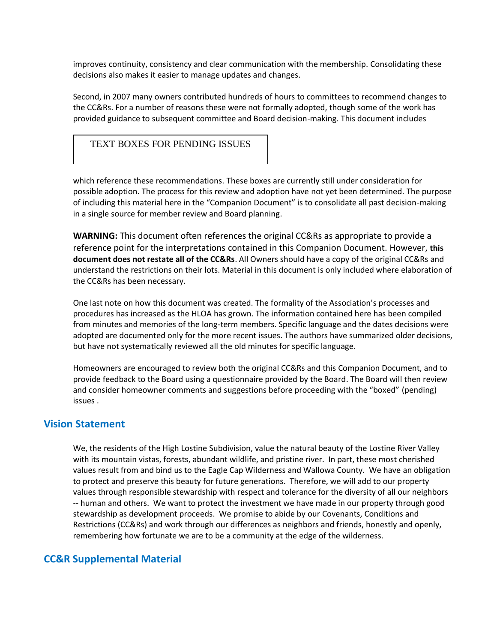improves continuity, consistency and clear communication with the membership. Consolidating these decisions also makes it easier to manage updates and changes.

Second, in 2007 many owners contributed hundreds of hours to committees to recommend changes to the CC&Rs. For a number of reasons these were not formally adopted, though some of the work has provided guidance to subsequent committee and Board decision-making. This document includes

### TEXT BOXES FOR PENDING ISSUES

which reference these recommendations. These boxes are currently still under consideration for possible adoption. The process for this review and adoption have not yet been determined. The purpose of including this material here in the "Companion Document" is to consolidate all past decision-making in a single source for member review and Board planning.

**WARNING:** This document often references the original CC&Rs as appropriate to provide a reference point for the interpretations contained in this Companion Document. However, **this document does not restate all of the CC&Rs**. All Owners should have a copy of the original CC&Rs and understand the restrictions on their lots. Material in this document is only included where elaboration of the CC&Rs has been necessary.

One last note on how this document was created. The formality of the Association's processes and procedures has increased as the HLOA has grown. The information contained here has been compiled from minutes and memories of the long-term members. Specific language and the dates decisions were adopted are documented only for the more recent issues. The authors have summarized older decisions, but have not systematically reviewed all the old minutes for specific language.

Homeowners are encouraged to review both the original CC&Rs and this Companion Document, and to provide feedback to the Board using a questionnaire provided by the Board. The Board will then review and consider homeowner comments and suggestions before proceeding with the "boxed" (pending) issues .

## **Vision Statement**

We, the residents of the High Lostine Subdivision, value the natural beauty of the Lostine River Valley with its mountain vistas, forests, abundant wildlife, and pristine river. In part, these most cherished values result from and bind us to the Eagle Cap Wilderness and Wallowa County. We have an obligation to protect and preserve this beauty for future generations. Therefore, we will add to our property values through responsible stewardship with respect and tolerance for the diversity of all our neighbors -- human and others. We want to protect the investment we have made in our property through good stewardship as development proceeds. We promise to abide by our Covenants, Conditions and Restrictions (CC&Rs) and work through our differences as neighbors and friends, honestly and openly, remembering how fortunate we are to be a community at the edge of the wilderness.

## **CC&R Supplemental Material**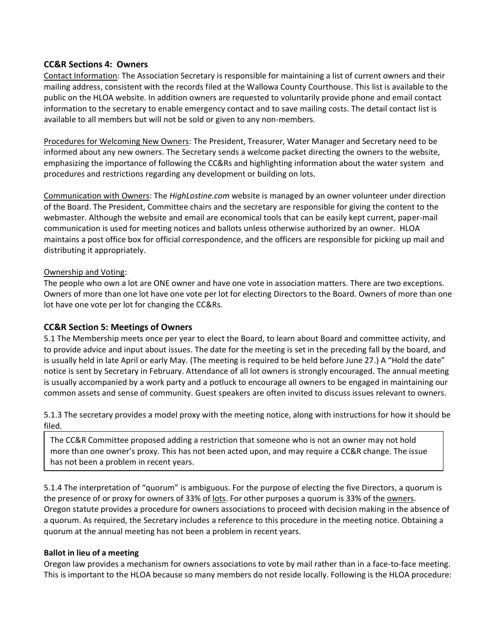### **CC&R Sections 4: Owners**

Contact Information: The Association Secretary is responsible for maintaining a list of current owners and their mailing address, consistent with the records filed at the Wallowa County Courthouse. This list is available to the public on the HLOA website. In addition owners are requested to voluntarily provide phone and email contact information to the secretary to enable emergency contact and to save mailing costs. The detail contact list is available to all members but will not be sold or given to any non-members.

Procedures for Welcoming New Owners: The President, Treasurer, Water Manager and Secretary need to be informed about any new owners. The Secretary sends a welcome packet directing the owners to the website, emphasizing the importance of following the CC&Rs and highlighting information about the water system and procedures and restrictions regarding any development or building on lots.

Communication with Owners: The *HighLostine.com* website is managed by an owner volunteer under direction of the Board. The President, Committee chairs and the secretary are responsible for giving the content to the webmaster. Although the website and email are economical tools that can be easily kept current, paper-mail communication is used for meeting notices and ballots unless otherwise authorized by an owner. HLOA maintains a post office box for official correspondence, and the officers are responsible for picking up mail and distributing it appropriately.

#### Ownership and Voting:

The people who own a lot are ONE owner and have one vote in association matters. There are two exceptions. Owners of more than one lot have one vote per lot for electing Directors to the Board. Owners of more than one lot have one vote per lot for changing the CC&Rs.

## **CC&R Section 5: Meetings of Owners**

5.1 The Membership meets once per year to elect the Board, to learn about Board and committee activity, and to provide advice and input about issues. The date for the meeting is set in the preceding fall by the board, and is usually held in late April or early May. (The meeting is required to be held before June 27.) A "Hold the date" notice is sent by Secretary in February. Attendance of all lot owners is strongly encouraged. The annual meeting is usually accompanied by a work party and a potluck to encourage all owners to be engaged in maintaining our common assets and sense of community. Guest speakers are often invited to discuss issues relevant to owners.

5.1.3 The secretary provides a model proxy with the meeting notice, along with instructions for how it should be filed.

The CC&R Committee proposed adding a restriction that someone who is not an owner may not hold more than one owner's proxy. This has not been acted upon, and may require a CC&R change. The issue has not been a problem in recent years.

5.1.4 The interpretation of "quorum" is ambiguous. For the purpose of electing the five Directors, a quorum is the presence of or proxy for owners of 33% of lots. For other purposes a quorum is 33% of the owners. Oregon statute provides a procedure for owners associations to proceed with decision making in the absence of a quorum. As required, the Secretary includes a reference to this procedure in the meeting notice. Obtaining a quorum at the annual meeting has not been a problem in recent years.

#### **Ballot in lieu of a meeting**

Oregon law provides a mechanism for owners associations to vote by mail rather than in a face-to-face meeting. This is important to the HLOA because so many members do not reside locally. Following is the HLOA procedure: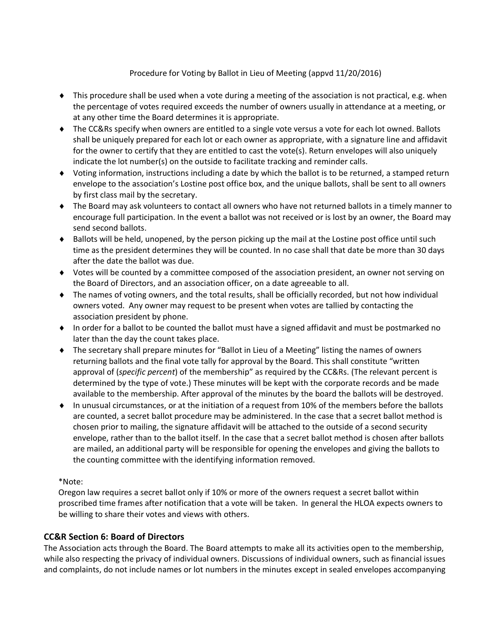### Procedure for Voting by Ballot in Lieu of Meeting (appvd 11/20/2016)

- $\bullet$  This procedure shall be used when a vote during a meeting of the association is not practical, e.g. when the percentage of votes required exceeds the number of owners usually in attendance at a meeting, or at any other time the Board determines it is appropriate.
- ◆ The CC&Rs specify when owners are entitled to a single vote versus a vote for each lot owned. Ballots shall be uniquely prepared for each lot or each owner as appropriate, with a signature line and affidavit for the owner to certify that they are entitled to cast the vote(s). Return envelopes will also uniquely indicate the lot number(s) on the outside to facilitate tracking and reminder calls.
- Voting information, instructions including a date by which the ballot is to be returned, a stamped return envelope to the association's Lostine post office box, and the unique ballots, shall be sent to all owners by first class mail by the secretary.
- The Board may ask volunteers to contact all owners who have not returned ballots in a timely manner to encourage full participation. In the event a ballot was not received or is lost by an owner, the Board may send second ballots.
- $\bullet$  Ballots will be held, unopened, by the person picking up the mail at the Lostine post office until such time as the president determines they will be counted. In no case shall that date be more than 30 days after the date the ballot was due.
- Votes will be counted by a committee composed of the association president, an owner not serving on the Board of Directors, and an association officer, on a date agreeable to all.
- The names of voting owners, and the total results, shall be officially recorded, but not how individual owners voted. Any owner may request to be present when votes are tallied by contacting the association president by phone.
- In order for a ballot to be counted the ballot must have a signed affidavit and must be postmarked no later than the day the count takes place.
- The secretary shall prepare minutes for "Ballot in Lieu of a Meeting" listing the names of owners returning ballots and the final vote tally for approval by the Board. This shall constitute "written approval of (*specific percent*) of the membership" as required by the CC&Rs. (The relevant percent is determined by the type of vote.) These minutes will be kept with the corporate records and be made available to the membership. After approval of the minutes by the board the ballots will be destroyed.
- In unusual circumstances, or at the initiation of a request from 10% of the members before the ballots are counted, a secret ballot procedure may be administered. In the case that a secret ballot method is chosen prior to mailing, the signature affidavit will be attached to the outside of a second security envelope, rather than to the ballot itself. In the case that a secret ballot method is chosen after ballots are mailed, an additional party will be responsible for opening the envelopes and giving the ballots to the counting committee with the identifying information removed.

#### \*Note:

Oregon law requires a secret ballot only if 10% or more of the owners request a secret ballot within proscribed time frames after notification that a vote will be taken. In general the HLOA expects owners to be willing to share their votes and views with others.

#### **CC&R Section 6: Board of Directors**

The Association acts through the Board. The Board attempts to make all its activities open to the membership, while also respecting the privacy of individual owners. Discussions of individual owners, such as financial issues and complaints, do not include names or lot numbers in the minutes except in sealed envelopes accompanying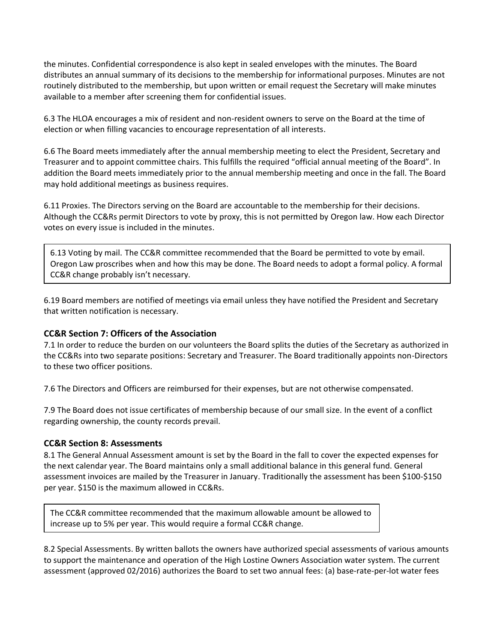the minutes. Confidential correspondence is also kept in sealed envelopes with the minutes. The Board distributes an annual summary of its decisions to the membership for informational purposes. Minutes are not routinely distributed to the membership, but upon written or email request the Secretary will make minutes available to a member after screening them for confidential issues.

6.3 The HLOA encourages a mix of resident and non-resident owners to serve on the Board at the time of election or when filling vacancies to encourage representation of all interests.

6.6 The Board meets immediately after the annual membership meeting to elect the President, Secretary and Treasurer and to appoint committee chairs. This fulfills the required "official annual meeting of the Board". In addition the Board meets immediately prior to the annual membership meeting and once in the fall. The Board may hold additional meetings as business requires.

6.11 Proxies. The Directors serving on the Board are accountable to the membership for their decisions. Although the CC&Rs permit Directors to vote by proxy, this is not permitted by Oregon law. How each Director votes on every issue is included in the minutes.

6.13 Voting by mail. The CC&R committee recommended that the Board be permitted to vote by email. Oregon Law proscribes when and how this may be done. The Board needs to adopt a formal policy. A formal CC&R change probably isn't necessary.

6.19 Board members are notified of meetings via email unless they have notified the President and Secretary that written notification is necessary.

#### **CC&R Section 7: Officers of the Association**

7.1 In order to reduce the burden on our volunteers the Board splits the duties of the Secretary as authorized in the CC&Rs into two separate positions: Secretary and Treasurer. The Board traditionally appoints non-Directors to these two officer positions.

7.6 The Directors and Officers are reimbursed for their expenses, but are not otherwise compensated.

7.9 The Board does not issue certificates of membership because of our small size. In the event of a conflict regarding ownership, the county records prevail.

#### **CC&R Section 8: Assessments**

8.1 The General Annual Assessment amount is set by the Board in the fall to cover the expected expenses for the next calendar year. The Board maintains only a small additional balance in this general fund. General assessment invoices are mailed by the Treasurer in January. Traditionally the assessment has been \$100-\$150 per year. \$150 is the maximum allowed in CC&Rs.

The CC&R committee recommended that the maximum allowable amount be allowed to increase up to 5% per year. This would require a formal CC&R change.

8.2 Special Assessments. By written ballots the owners have authorized special assessments of various amounts to support the maintenance and operation of the High Lostine Owners Association water system. The current assessment (approved 02/2016) authorizes the Board to set two annual fees: (a) base-rate-per-lot water fees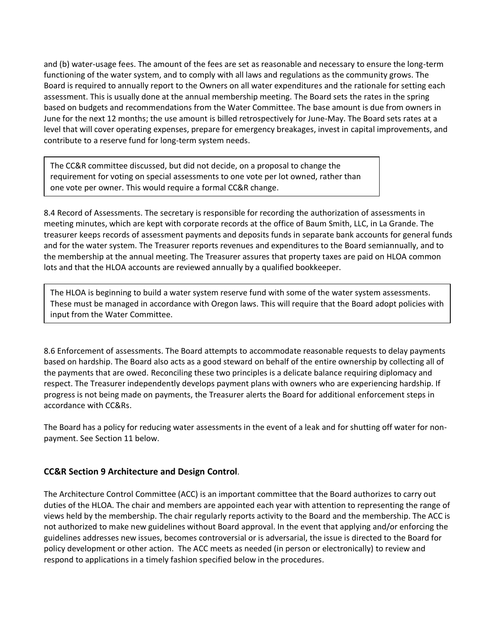and (b) water-usage fees. The amount of the fees are set as reasonable and necessary to ensure the long-term functioning of the water system, and to comply with all laws and regulations as the community grows. The Board is required to annually report to the Owners on all water expenditures and the rationale for setting each assessment. This is usually done at the annual membership meeting. The Board sets the rates in the spring based on budgets and recommendations from the Water Committee. The base amount is due from owners in June for the next 12 months; the use amount is billed retrospectively for June-May. The Board sets rates at a level that will cover operating expenses, prepare for emergency breakages, invest in capital improvements, and contribute to a reserve fund for long-term system needs.

The CC&R committee discussed, but did not decide, on a proposal to change the requirement for voting on special assessments to one vote per lot owned, rather than one vote per owner. This would require a formal CC&R change.

8.4 Record of Assessments. The secretary is responsible for recording the authorization of assessments in meeting minutes, which are kept with corporate records at the office of Baum Smith, LLC, in La Grande. The treasurer keeps records of assessment payments and deposits funds in separate bank accounts for general funds and for the water system. The Treasurer reports revenues and expenditures to the Board semiannually, and to the membership at the annual meeting. The Treasurer assures that property taxes are paid on HLOA common lots and that the HLOA accounts are reviewed annually by a qualified bookkeeper.

The HLOA is beginning to build a water system reserve fund with some of the water system assessments. These must be managed in accordance with Oregon laws. This will require that the Board adopt policies with input from the Water Committee.

8.6 Enforcement of assessments. The Board attempts to accommodate reasonable requests to delay payments based on hardship. The Board also acts as a good steward on behalf of the entire ownership by collecting all of the payments that are owed. Reconciling these two principles is a delicate balance requiring diplomacy and respect. The Treasurer independently develops payment plans with owners who are experiencing hardship. If progress is not being made on payments, the Treasurer alerts the Board for additional enforcement steps in accordance with CC&Rs.

The Board has a policy for reducing water assessments in the event of a leak and for shutting off water for nonpayment. See Section 11 below.

## **CC&R Section 9 Architecture and Design Control**.

The Architecture Control Committee (ACC) is an important committee that the Board authorizes to carry out duties of the HLOA. The chair and members are appointed each year with attention to representing the range of views held by the membership. The chair regularly reports activity to the Board and the membership. The ACC is not authorized to make new guidelines without Board approval. In the event that applying and/or enforcing the guidelines addresses new issues, becomes controversial or is adversarial, the issue is directed to the Board for policy development or other action. The ACC meets as needed (in person or electronically) to review and respond to applications in a timely fashion specified below in the procedures.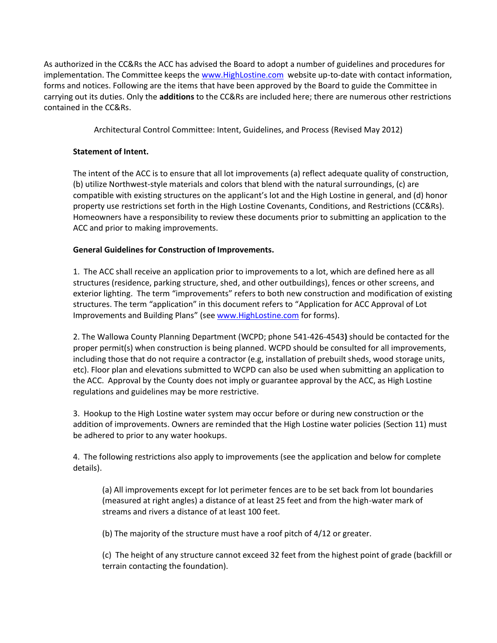As authorized in the CC&Rs the ACC has advised the Board to adopt a number of guidelines and procedures for implementation. The Committee keeps the [www.HighLostine.com](http://www.highlostine.com/) website up-to-date with contact information, forms and notices. Following are the items that have been approved by the Board to guide the Committee in carrying out its duties. Only the **additions** to the CC&Rs are included here; there are numerous other restrictions contained in the CC&Rs.

Architectural Control Committee: Intent, Guidelines, and Process (Revised May 2012)

## **Statement of Intent.**

The intent of the ACC is to ensure that all lot improvements (a) reflect adequate quality of construction, (b) utilize Northwest-style materials and colors that blend with the natural surroundings, (c) are compatible with existing structures on the applicant's lot and the High Lostine in general, and (d) honor property use restrictions set forth in the High Lostine Covenants, Conditions, and Restrictions (CC&Rs). Homeowners have a responsibility to review these documents prior to submitting an application to the ACC and prior to making improvements.

## **General Guidelines for Construction of Improvements.**

1. The ACC shall receive an application prior to improvements to a lot, which are defined here as all structures (residence, parking structure, shed, and other outbuildings), fences or other screens, and exterior lighting. The term "improvements" refers to both new construction and modification of existing structures. The term "application" in this document refers to "Application for ACC Approval of Lot Improvements and Building Plans" (se[e www.HighLostine.com](http://www.highlostine.com/) for forms).

2. The Wallowa County Planning Department (WCPD; phone [541-426-4543](tel:541-426-4543)**)** should be contacted for the proper permit(s) when construction is being planned. WCPD should be consulted for all improvements, including those that do not require a contractor (e.g, installation of prebuilt sheds, wood storage units, etc). Floor plan and elevations submitted to WCPD can also be used when submitting an application to the ACC. Approval by the County does not imply or guarantee approval by the ACC, as High Lostine regulations and guidelines may be more restrictive.

3. Hookup to the High Lostine water system may occur before or during new construction or the addition of improvements. Owners are reminded that the High Lostine water policies (Section 11) must be adhered to prior to any water hookups.

4. The following restrictions also apply to improvements (see the application and below for complete details).

(a) All improvements except for lot perimeter fences are to be set back from lot boundaries (measured at right angles) a distance of at least 25 feet and from the high-water mark of streams and rivers a distance of at least 100 feet.

(b) The majority of the structure must have a roof pitch of 4/12 or greater.

(c) The height of any structure cannot exceed 32 feet from the highest point of grade (backfill or terrain contacting the foundation).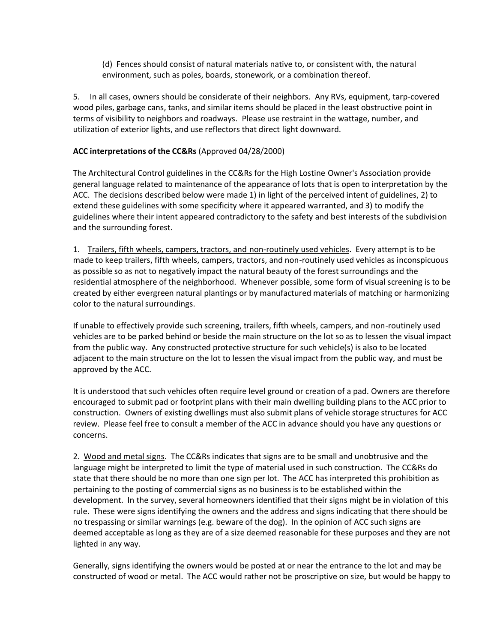(d) Fences should consist of natural materials native to, or consistent with, the natural environment, such as poles, boards, stonework, or a combination thereof.

5. In all cases, owners should be considerate of their neighbors. Any RVs, equipment, tarp-covered wood piles, garbage cans, tanks, and similar items should be placed in the least obstructive point in terms of visibility to neighbors and roadways. Please use restraint in the wattage, number, and utilization of exterior lights, and use reflectors that direct light downward.

## **ACC interpretations of the CC&Rs** (Approved 04/28/2000)

The Architectural Control guidelines in the CC&Rs for the High Lostine Owner's Association provide general language related to maintenance of the appearance of lots that is open to interpretation by the ACC. The decisions described below were made 1) in light of the perceived intent of guidelines, 2) to extend these guidelines with some specificity where it appeared warranted, and 3) to modify the guidelines where their intent appeared contradictory to the safety and best interests of the subdivision and the surrounding forest.

1. Trailers, fifth wheels, campers, tractors, and non-routinely used vehicles. Every attempt is to be made to keep trailers, fifth wheels, campers, tractors, and non-routinely used vehicles as inconspicuous as possible so as not to negatively impact the natural beauty of the forest surroundings and the residential atmosphere of the neighborhood. Whenever possible, some form of visual screening is to be created by either evergreen natural plantings or by manufactured materials of matching or harmonizing color to the natural surroundings.

If unable to effectively provide such screening, trailers, fifth wheels, campers, and non-routinely used vehicles are to be parked behind or beside the main structure on the lot so as to lessen the visual impact from the public way. Any constructed protective structure for such vehicle(s) is also to be located adjacent to the main structure on the lot to lessen the visual impact from the public way, and must be approved by the ACC.

It is understood that such vehicles often require level ground or creation of a pad. Owners are therefore encouraged to submit pad or footprint plans with their main dwelling building plans to the ACC prior to construction. Owners of existing dwellings must also submit plans of vehicle storage structures for ACC review. Please feel free to consult a member of the ACC in advance should you have any questions or concerns.

2. Wood and metal signs. The CC&Rs indicates that signs are to be small and unobtrusive and the language might be interpreted to limit the type of material used in such construction. The CC&Rs do state that there should be no more than one sign per lot. The ACC has interpreted this prohibition as pertaining to the posting of commercial signs as no business is to be established within the development. In the survey, several homeowners identified that their signs might be in violation of this rule. These were signs identifying the owners and the address and signs indicating that there should be no trespassing or similar warnings (e.g. beware of the dog). In the opinion of ACC such signs are deemed acceptable as long as they are of a size deemed reasonable for these purposes and they are not lighted in any way.

Generally, signs identifying the owners would be posted at or near the entrance to the lot and may be constructed of wood or metal. The ACC would rather not be proscriptive on size, but would be happy to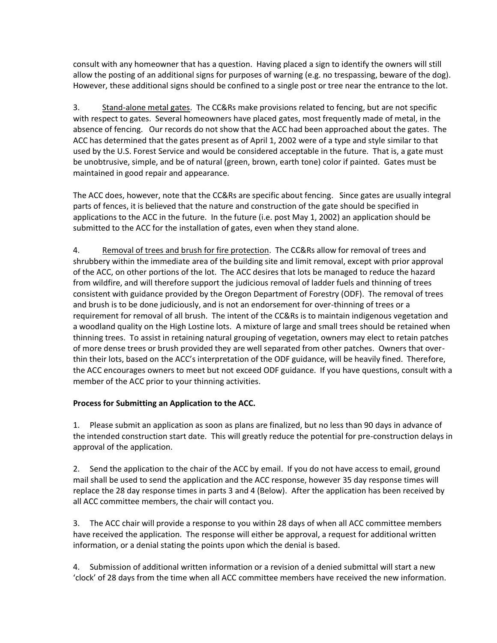consult with any homeowner that has a question. Having placed a sign to identify the owners will still allow the posting of an additional signs for purposes of warning (e.g. no trespassing, beware of the dog). However, these additional signs should be confined to a single post or tree near the entrance to the lot.

3. Stand-alone metal gates. The CC&Rs make provisions related to fencing, but are not specific with respect to gates. Several homeowners have placed gates, most frequently made of metal, in the absence of fencing. Our records do not show that the ACC had been approached about the gates. The ACC has determined that the gates present as of April 1, 2002 were of a type and style similar to that used by the U.S. Forest Service and would be considered acceptable in the future. That is, a gate must be unobtrusive, simple, and be of natural (green, brown, earth tone) color if painted. Gates must be maintained in good repair and appearance.

The ACC does, however, note that the CC&Rs are specific about fencing. Since gates are usually integral parts of fences, it is believed that the nature and construction of the gate should be specified in applications to the ACC in the future. In the future (i.e. post May 1, 2002) an application should be submitted to the ACC for the installation of gates, even when they stand alone.

4. Removal of trees and brush for fire protection. The CC&Rs allow for removal of trees and shrubbery within the immediate area of the building site and limit removal, except with prior approval of the ACC, on other portions of the lot. The ACC desires that lots be managed to reduce the hazard from wildfire, and will therefore support the judicious removal of ladder fuels and thinning of trees consistent with guidance provided by the Oregon Department of Forestry (ODF). The removal of trees and brush is to be done judiciously, and is not an endorsement for over-thinning of trees or a requirement for removal of all brush. The intent of the CC&Rs is to maintain indigenous vegetation and a woodland quality on the High Lostine lots. A mixture of large and small trees should be retained when thinning trees. To assist in retaining natural grouping of vegetation, owners may elect to retain patches of more dense trees or brush provided they are well separated from other patches. Owners that overthin their lots, based on the ACC's interpretation of the ODF guidance, will be heavily fined. Therefore, the ACC encourages owners to meet but not exceed ODF guidance. If you have questions, consult with a member of the ACC prior to your thinning activities.

## **Process for Submitting an Application to the ACC.**

1. Please submit an application as soon as plans are finalized, but no less than 90 days in advance of the intended construction start date. This will greatly reduce the potential for pre-construction delays in approval of the application.

2. Send the application to the chair of the ACC by email. If you do not have access to email, ground mail shall be used to send the application and the ACC response, however 35 day response times will replace the 28 day response times in parts 3 and 4 (Below). After the application has been received by all ACC committee members, the chair will contact you.

3. The ACC chair will provide a response to you within 28 days of when all ACC committee members have received the application. The response will either be approval, a request for additional written information, or a denial stating the points upon which the denial is based.

4. Submission of additional written information or a revision of a denied submittal will start a new 'clock' of 28 days from the time when all ACC committee members have received the new information.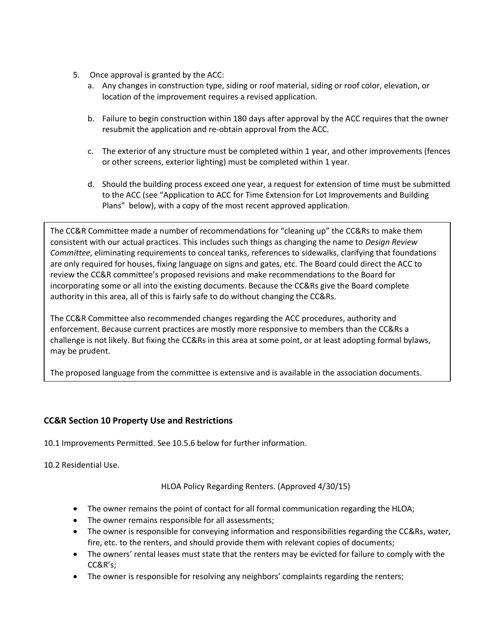- 5. Once approval is granted by the ACC:
	- a. Any changes in construction type, siding or roof material, siding or roof color, elevation, or location of the improvement requires a revised application.
	- b. Failure to begin construction within 180 days after approval by the ACC requires that the owner resubmit the application and re-obtain approval from the ACC.
	- c. The exterior of any structure must be completed within 1 year, and other improvements (fences or other screens, exterior lighting) must be completed within 1 year.
	- d. Should the building process exceed one year, a request for extension of time must be submitted to the ACC (see "Application to ACC for Time Extension for Lot Improvements and Building Plans" below), with a copy of the most recent approved application.

The CC&R Committee made a number of recommendations for "cleaning up" the CC&Rs to make them consistent with our actual practices. This includes such things as changing the name to *Design Review Committee*, eliminating requirements to conceal tanks, references to sidewalks, clarifying that foundations are only required for houses, fixing language on signs and gates, etc. The Board could direct the ACC to review the CC&R committee's proposed revisions and make recommendations to the Board for incorporating some or all into the existing documents. Because the CC&Rs give the Board complete authority in this area, all of this is fairly safe to do without changing the CC&Rs.

The CC&R Committee also recommended changes regarding the ACC procedures, authority and enforcement. Because current practices are mostly more responsive to members than the CC&Rs a challenge is not likely. But fixing the CC&Rs in this area at some point, or at least adopting formal bylaws, may be prudent.

The proposed language from the committee is extensive and is available in the association documents.

## **CC&R Section 10 Property Use and Restrictions**

- 10.1 Improvements Permitted. See 10.5.6 below for further information.
- 10.2 Residential Use.

HLOA Policy Regarding Renters. (Approved 4/30/15)

- The owner remains the point of contact for all formal communication regarding the HLOA;
- The owner remains responsible for all assessments;
- The owner is responsible for conveying information and responsibilities regarding the CC&Rs, water, fire, etc. to the renters, and should provide them with relevant copies of documents;
- The owners' rental leases must state that the renters may be evicted for failure to comply with the CC&R's;
- The owner is responsible for resolving any neighbors' complaints regarding the renters;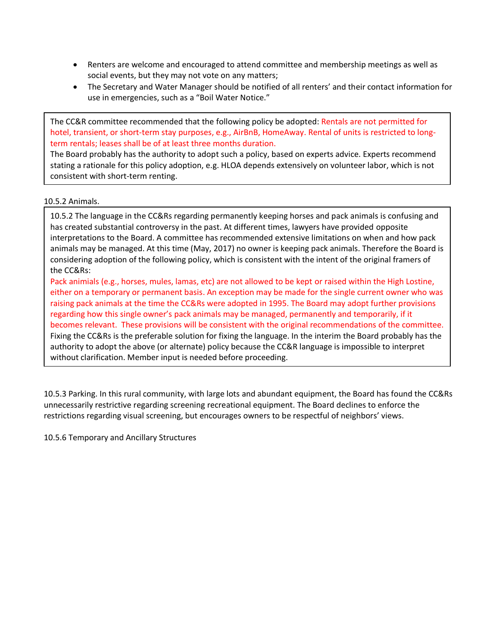- Renters are welcome and encouraged to attend committee and membership meetings as well as social events, but they may not vote on any matters;
- The Secretary and Water Manager should be notified of all renters' and their contact information for use in emergencies, such as a "Boil Water Notice."

The CC&R committee recommended that the following policy be adopted: Rentals are not permitted for hotel, transient, or short-term stay purposes, e.g., AirBnB, HomeAway. Rental of units is restricted to longterm rentals; leases shall be of at least three months duration.

The Board probably has the authority to adopt such a policy, based on experts advice. Experts recommend stating a rationale for this policy adoption, e.g. HLOA depends extensively on volunteer labor, which is not consistent with short-term renting.

### 10.5.2 Animals.

10.5.2 The language in the CC&Rs regarding permanently keeping horses and pack animals is confusing and has created substantial controversy in the past. At different times, lawyers have provided opposite interpretations to the Board. A committee has recommended extensive limitations on when and how pack animals may be managed. At this time (May, 2017) no owner is keeping pack animals. Therefore the Board is considering adoption of the following policy, which is consistent with the intent of the original framers of the CC&Rs:

Pack animials (e.g., horses, mules, lamas, etc) are not allowed to be kept or raised within the High Lostine, either on a temporary or permanent basis. An exception may be made for the single current owner who was raising pack animals at the time the CC&Rs were adopted in 1995. The Board may adopt further provisions regarding how this single owner's pack animals may be managed, permanently and temporarily, if it becomes relevant. These provisions will be consistent with the original recommendations of the committee. Fixing the CC&Rs is the preferable solution for fixing the language. In the interim the Board probably has the authority to adopt the above (or alternate) policy because the CC&R language is impossible to interpret without clarification. Member input is needed before proceeding.

10.5.3 Parking. In this rural community, with large lots and abundant equipment, the Board has found the CC&Rs unnecessarily restrictive regarding screening recreational equipment. The Board declines to enforce the restrictions regarding visual screening, but encourages owners to be respectful of neighbors' views.

10.5.6 Temporary and Ancillary Structures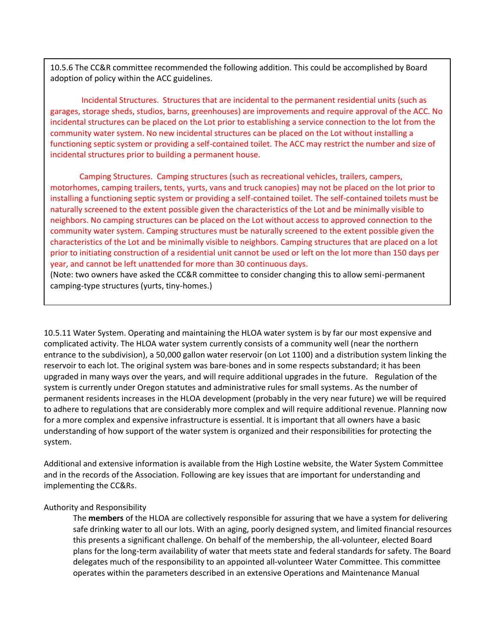10.5.6 The CC&R committee recommended the following addition. This could be accomplished by Board adoption of policy within the ACC guidelines.

Incidental Structures. Structures that are incidental to the permanent residential units (such as garages, storage sheds, studios, barns, greenhouses) are improvements and require approval of the ACC. No incidental structures can be placed on the Lot prior to establishing a service connection to the lot from the community water system. No new incidental structures can be placed on the Lot without installing a functioning septic system or providing a self-contained toilet. The ACC may restrict the number and size of incidental structures prior to building a permanent house.

Camping Structures. Camping structures (such as recreational vehicles, trailers, campers, motorhomes, camping trailers, tents, yurts, vans and truck canopies) may not be placed on the lot prior to installing a functioning septic system or providing a self-contained toilet. The self-contained toilets must be naturally screened to the extent possible given the characteristics of the Lot and be minimally visible to neighbors. No camping structures can be placed on the Lot without access to approved connection to the community water system. Camping structures must be naturally screened to the extent possible given the characteristics of the Lot and be minimally visible to neighbors. Camping structures that are placed on a lot prior to initiating construction of a residential unit cannot be used or left on the lot more than 150 days per year, and cannot be left unattended for more than 30 continuous days.

(Note: two owners have asked the CC&R committee to consider changing this to allow semi-permanent camping-type structures (yurts, tiny-homes.)

10.5.11 Water System. Operating and maintaining the HLOA water system is by far our most expensive and complicated activity. The HLOA water system currently consists of a community well (near the northern entrance to the subdivision), a 50,000 gallon water reservoir (on Lot 1100) and a distribution system linking the reservoir to each lot. The original system was bare-bones and in some respects substandard; it has been upgraded in many ways over the years, and will require additional upgrades in the future. Regulation of the system is currently under Oregon statutes and administrative rules for small systems. As the number of permanent residents increases in the HLOA development (probably in the very near future) we will be required to adhere to regulations that are considerably more complex and will require additional revenue. Planning now for a more complex and expensive infrastructure is essential. It is important that all owners have a basic understanding of how support of the water system is organized and their responsibilities for protecting the system.

Additional and extensive information is available from the High Lostine website, the Water System Committee and in the records of the Association. Following are key issues that are important for understanding and implementing the CC&Rs.

#### Authority and Responsibility

The **members** of the HLOA are collectively responsible for assuring that we have a system for delivering safe drinking water to all our lots. With an aging, poorly designed system, and limited financial resources this presents a significant challenge. On behalf of the membership, the all-volunteer, elected Board plans for the long-term availability of water that meets state and federal standards for safety. The Board delegates much of the responsibility to an appointed all-volunteer Water Committee. This committee operates within the parameters described in an extensive Operations and Maintenance Manual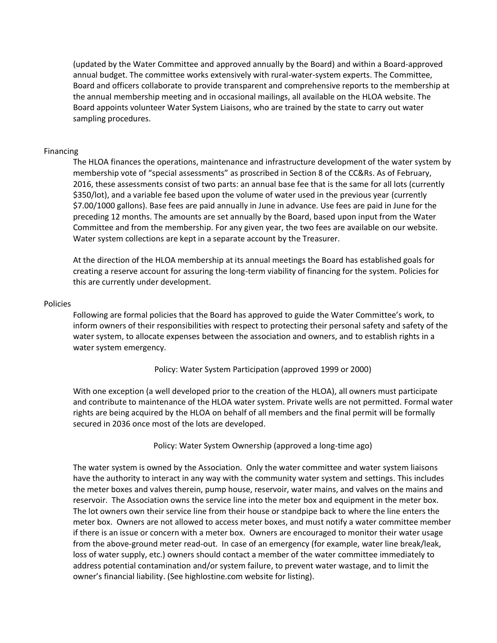(updated by the Water Committee and approved annually by the Board) and within a Board-approved annual budget. The committee works extensively with rural-water-system experts. The Committee, Board and officers collaborate to provide transparent and comprehensive reports to the membership at the annual membership meeting and in occasional mailings, all available on the HLOA website. The Board appoints volunteer Water System Liaisons, who are trained by the state to carry out water sampling procedures.

#### Financing

The HLOA finances the operations, maintenance and infrastructure development of the water system by membership vote of "special assessments" as proscribed in Section 8 of the CC&Rs. As of February, 2016, these assessments consist of two parts: an annual base fee that is the same for all lots (currently \$350/lot), and a variable fee based upon the volume of water used in the previous year (currently \$7.00/1000 gallons). Base fees are paid annually in June in advance. Use fees are paid in June for the preceding 12 months. The amounts are set annually by the Board, based upon input from the Water Committee and from the membership. For any given year, the two fees are available on our website. Water system collections are kept in a separate account by the Treasurer.

At the direction of the HLOA membership at its annual meetings the Board has established goals for creating a reserve account for assuring the long-term viability of financing for the system. Policies for this are currently under development.

#### Policies

Following are formal policies that the Board has approved to guide the Water Committee's work, to inform owners of their responsibilities with respect to protecting their personal safety and safety of the water system, to allocate expenses between the association and owners, and to establish rights in a water system emergency.

Policy: Water System Participation (approved 1999 or 2000)

With one exception (a well developed prior to the creation of the HLOA), all owners must participate and contribute to maintenance of the HLOA water system. Private wells are not permitted. Formal water rights are being acquired by the HLOA on behalf of all members and the final permit will be formally secured in 2036 once most of the lots are developed.

Policy: Water System Ownership (approved a long-time ago)

The water system is owned by the Association. Only the water committee and water system liaisons have the authority to interact in any way with the community water system and settings. This includes the meter boxes and valves therein, pump house, reservoir, water mains, and valves on the mains and reservoir. The Association owns the service line into the meter box and equipment in the meter box. The lot owners own their service line from their house or standpipe back to where the line enters the meter box. Owners are not allowed to access meter boxes, and must notify a water committee member if there is an issue or concern with a meter box. Owners are encouraged to monitor their water usage from the above-ground meter read-out. In case of an emergency (for example, water line break/leak, loss of water supply, etc.) owners should contact a member of the water committee immediately to address potential contamination and/or system failure, to prevent water wastage, and to limit the owner's financial liability. (See highlostine.com website for listing).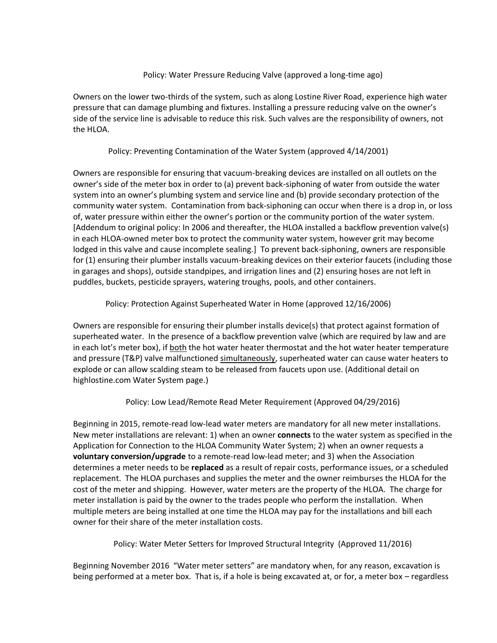#### Policy: Water Pressure Reducing Valve (approved a long-time ago)

Owners on the lower two-thirds of the system, such as along Lostine River Road, experience high water pressure that can damage plumbing and fixtures. Installing a pressure reducing valve on the owner's side of the service line is advisable to reduce this risk. Such valves are the responsibility of owners, not the HLOA.

### Policy: Preventing Contamination of the Water System (approved 4/14/2001)

Owners are responsible for ensuring that vacuum-breaking devices are installed on all outlets on the owner's side of the meter box in order to (a) prevent back-siphoning of water from outside the water system into an owner's plumbing system and service line and (b) provide secondary protection of the community water system. Contamination from back-siphoning can occur when there is a drop in, or loss of, water pressure within either the owner's portion or the community portion of the water system. [Addendum to original policy: In 2006 and thereafter, the HLOA installed a backflow prevention valve(s) in each HLOA-owned meter box to protect the community water system, however grit may become lodged in this valve and cause incomplete sealing.] To prevent back-siphoning, owners are responsible for (1) ensuring their plumber installs vacuum-breaking devices on their exterior faucets (including those in garages and shops), outside standpipes, and irrigation lines and (2) ensuring hoses are not left in puddles, buckets, pesticide sprayers, watering troughs, pools, and other containers.

## Policy: Protection Against Superheated Water in Home (approved 12/16/2006)

Owners are responsible for ensuring their plumber installs device(s) that protect against formation of superheated water. In the presence of a backflow prevention valve (which are required by law and are in each lot's meter box), if both the hot water heater thermostat and the hot water heater temperature and pressure (T&P) valve malfunctioned simultaneously, superheated water can cause water heaters to explode or can allow scalding steam to be released from faucets upon use. (Additional detail on highlostine.com Water System page.)

#### Policy: Low Lead/Remote Read Meter Requirement (Approved 04/29/2016)

Beginning in 2015, remote-read low-lead water meters are mandatory for all new meter installations. New meter installations are relevant: 1) when an owner **connects** to the water system as specified in the Application for Connection to the HLOA Community Water System; 2) when an owner requests a **voluntary conversion/upgrade** to a remote-read low-lead meter; and 3) when the Association determines a meter needs to be **replaced** as a result of repair costs, performance issues, or a scheduled replacement. The HLOA purchases and supplies the meter and the owner reimburses the HLOA for the cost of the meter and shipping. However, water meters are the property of the HLOA. The charge for meter installation is paid by the owner to the trades people who perform the installation. When multiple meters are being installed at one time the HLOA may pay for the installations and bill each owner for their share of the meter installation costs.

Policy: Water Meter Setters for Improved Structural Integrity (Approved 11/2016)

Beginning November 2016 "Water meter setters" are mandatory when, for any reason, excavation is being performed at a meter box. That is, if a hole is being excavated at, or for, a meter box – regardless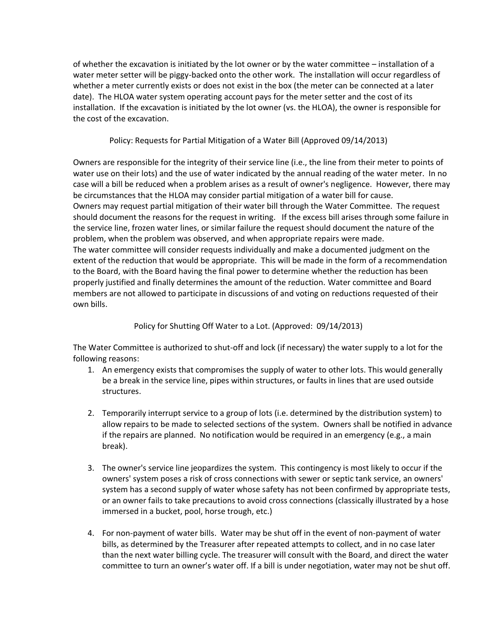of whether the excavation is initiated by the lot owner or by the water committee – installation of a water meter setter will be piggy-backed onto the other work. The installation will occur regardless of whether a meter currently exists or does not exist in the box (the meter can be connected at a later date). The HLOA water system operating account pays for the meter setter and the cost of its installation. If the excavation is initiated by the lot owner (vs. the HLOA), the owner is responsible for the cost of the excavation.

Policy: Requests for Partial Mitigation of a Water Bill (Approved 09/14/2013)

Owners are responsible for the integrity of their service line (i.e., the line from their meter to points of water use on their lots) and the use of water indicated by the annual reading of the water meter. In no case will a bill be reduced when a problem arises as a result of owner's negligence. However, there may be circumstances that the HLOA may consider partial mitigation of a water bill for cause. Owners may request partial mitigation of their water bill through the Water Committee. The request should document the reasons for the request in writing. If the excess bill arises through some failure in the service line, frozen water lines, or similar failure the request should document the nature of the problem, when the problem was observed, and when appropriate repairs were made. The water committee will consider requests individually and make a documented judgment on the extent of the reduction that would be appropriate. This will be made in the form of a recommendation to the Board, with the Board having the final power to determine whether the reduction has been properly justified and finally determines the amount of the reduction. Water committee and Board members are not allowed to participate in discussions of and voting on reductions requested of their own bills.

Policy for Shutting Off Water to a Lot. (Approved: 09/14/2013)

The Water Committee is authorized to shut-off and lock (if necessary) the water supply to a lot for the following reasons:

- 1. An emergency exists that compromises the supply of water to other lots. This would generally be a break in the service line, pipes within structures, or faults in lines that are used outside structures.
- 2. Temporarily interrupt service to a group of lots (i.e. determined by the distribution system) to allow repairs to be made to selected sections of the system. Owners shall be notified in advance if the repairs are planned. No notification would be required in an emergency (e.g., a main break).
- 3. The owner's service line jeopardizes the system. This contingency is most likely to occur if the owners' system poses a risk of cross connections with sewer or septic tank service, an owners' system has a second supply of water whose safety has not been confirmed by appropriate tests, or an owner fails to take precautions to avoid cross connections (classically illustrated by a hose immersed in a bucket, pool, horse trough, etc.)
- 4. For non-payment of water bills. Water may be shut off in the event of non-payment of water bills, as determined by the Treasurer after repeated attempts to collect, and in no case later than the next water billing cycle. The treasurer will consult with the Board, and direct the water committee to turn an owner's water off. If a bill is under negotiation, water may not be shut off.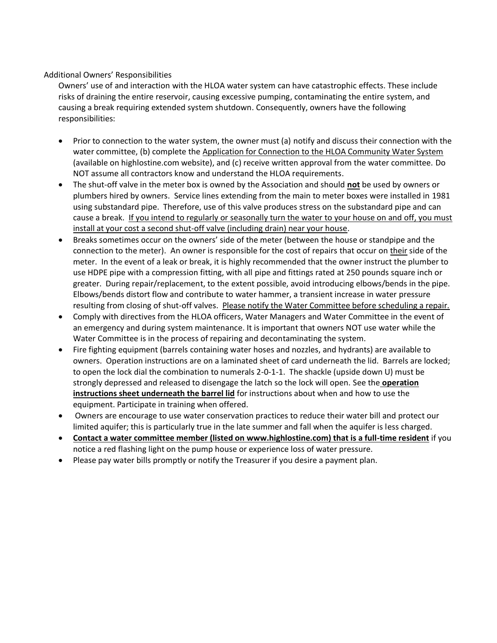#### Additional Owners' Responsibilities

Owners' use of and interaction with the HLOA water system can have catastrophic effects. These include risks of draining the entire reservoir, causing excessive pumping, contaminating the entire system, and causing a break requiring extended system shutdown. Consequently, owners have the following responsibilities:

- Prior to connection to the water system, the owner must (a) notify and discuss their connection with the water committee, (b) complete the Application for Connection to the HLOA Community Water System (available on highlostine.com website), and (c) receive written approval from the water committee. Do NOT assume all contractors know and understand the HLOA requirements.
- The shut-off valve in the meter box is owned by the Association and should **not** be used by owners or plumbers hired by owners. Service lines extending from the main to meter boxes were installed in 1981 using substandard pipe. Therefore, use of this valve produces stress on the substandard pipe and can cause a break. If you intend to regularly or seasonally turn the water to your house on and off, you must install at your cost a second shut-off valve (including drain) near your house.
- Breaks sometimes occur on the owners' side of the meter (between the house or standpipe and the connection to the meter). An owner is responsible for the cost of repairs that occur on their side of the meter. In the event of a leak or break, it is highly recommended that the owner instruct the plumber to use HDPE pipe with a compression fitting, with all pipe and fittings rated at 250 pounds square inch or greater. During repair/replacement, to the extent possible, avoid introducing elbows/bends in the pipe. Elbows/bends distort flow and contribute to water hammer, a transient increase in water pressure resulting from closing of shut-off valves. Please notify the Water Committee before scheduling a repair.
- Comply with directives from the HLOA officers, Water Managers and Water Committee in the event of an emergency and during system maintenance. It is important that owners NOT use water while the Water Committee is in the process of repairing and decontaminating the system.
- Fire fighting equipment (barrels containing water hoses and nozzles, and hydrants) are available to owners. Operation instructions are on a laminated sheet of card underneath the lid. Barrels are locked; to open the lock dial the combination to numerals 2-0-1-1. The shackle (upside down U) must be strongly depressed and released to disengage the latch so the lock will open. See the **operation instructions sheet underneath the barrel lid** for instructions about when and how to use the equipment. Participate in training when offered.
- Owners are encourage to use water conservation practices to reduce their water bill and protect our limited aquifer; this is particularly true in the late summer and fall when the aquifer is less charged.
- **Contact a water committee member (listed on www.highlostine.com) that is a full-time resident** if you notice a red flashing light on the pump house or experience loss of water pressure.
- Please pay water bills promptly or notify the Treasurer if you desire a payment plan.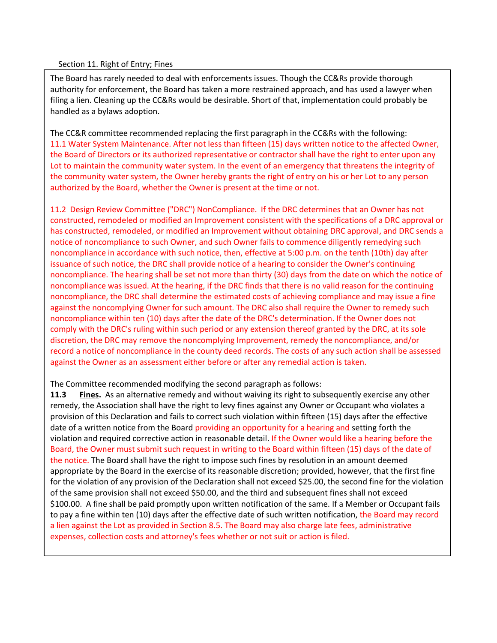#### Section 11. Right of Entry; Fines

The Board has rarely needed to deal with enforcements issues. Though the CC&Rs provide thorough authority for enforcement, the Board has taken a more restrained approach, and has used a lawyer when filing a lien. Cleaning up the CC&Rs would be desirable. Short of that, implementation could probably be handled as a bylaws adoption.

The CC&R committee recommended replacing the first paragraph in the CC&Rs with the following: 11.1 Water System Maintenance. After not less than fifteen (15) days written notice to the affected Owner, the Board of Directors or its authorized representative or contractor shall have the right to enter upon any Lot to maintain the community water system. In the event of an emergency that threatens the integrity of the community water system, the Owner hereby grants the right of entry on his or her Lot to any person authorized by the Board, whether the Owner is present at the time or not.

11.2 Design Review Committee ("DRC") NonCompliance. If the DRC determines that an Owner has not constructed, remodeled or modified an Improvement consistent with the specifications of a DRC approval or has constructed, remodeled, or modified an Improvement without obtaining DRC approval, and DRC sends a notice of noncompliance to such Owner, and such Owner fails to commence diligently remedying such noncompliance in accordance with such notice, then, effective at 5:00 p.m. on the tenth (10th) day after issuance of such notice, the DRC shall provide notice of a hearing to consider the Owner's continuing noncompliance. The hearing shall be set not more than thirty (30) days from the date on which the notice of noncompliance was issued. At the hearing, if the DRC finds that there is no valid reason for the continuing noncompliance, the DRC shall determine the estimated costs of achieving compliance and may issue a fine against the noncomplying Owner for such amount. The DRC also shall require the Owner to remedy such noncompliance within ten (10) days after the date of the DRC's determination. If the Owner does not comply with the DRC's ruling within such period or any extension thereof granted by the DRC, at its sole discretion, the DRC may remove the noncomplying Improvement, remedy the noncompliance, and/or record a notice of noncompliance in the county deed records. The costs of any such action shall be assessed against the Owner as an assessment either before or after any remedial action is taken.

The Committee recommended modifying the second paragraph as follows:

**11.3 Fines.** As an alternative remedy and without waiving its right to subsequently exercise any other remedy, the Association shall have the right to levy fines against any Owner or Occupant who violates a provision of this Declaration and fails to correct such violation within fifteen (15) days after the effective date of a written notice from the Board providing an opportunity for a hearing and setting forth the violation and required corrective action in reasonable detail. If the Owner would like a hearing before the Board, the Owner must submit such request in writing to the Board within fifteen (15) days of the date of the notice. The Board shall have the right to impose such fines by resolution in an amount deemed appropriate by the Board in the exercise of its reasonable discretion; provided, however, that the first fine for the violation of any provision of the Declaration shall not exceed \$25.00, the second fine for the violation of the same provision shall not exceed \$50.00, and the third and subsequent fines shall not exceed \$100.00. A fine shall be paid promptly upon written notification of the same. If a Member or Occupant fails to pay a fine within ten (10) days after the effective date of such written notification, the Board may record a lien against the Lot as provided in Section 8.5. The Board may also charge late fees, administrative expenses, collection costs and attorney's fees whether or not suit or action is filed.